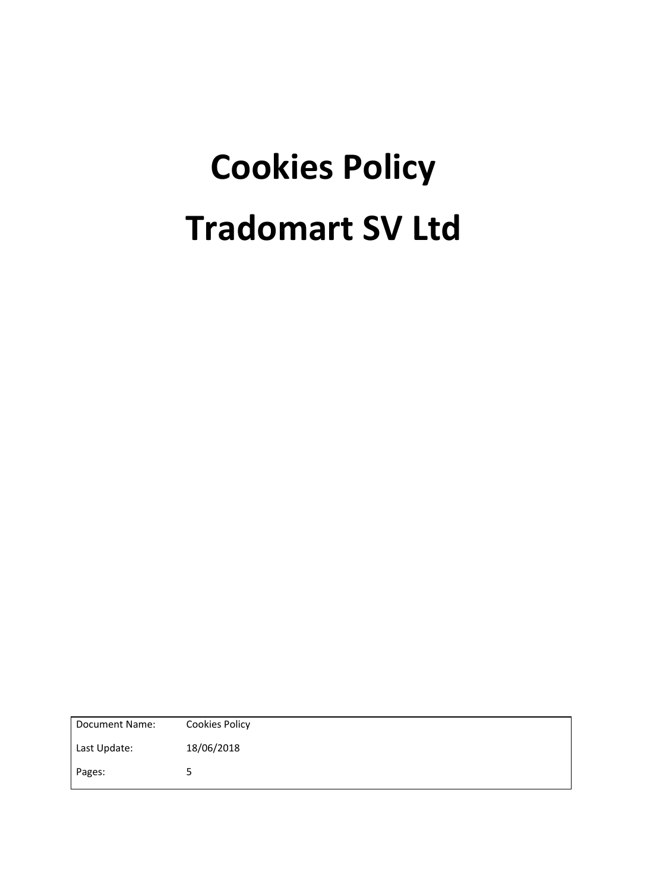# **Cookies Policy Tradomart SV Ltd**

| Document Name: | <b>Cookies Policy</b> |
|----------------|-----------------------|
| Last Update:   | 18/06/2018            |
| Pages:         | 5                     |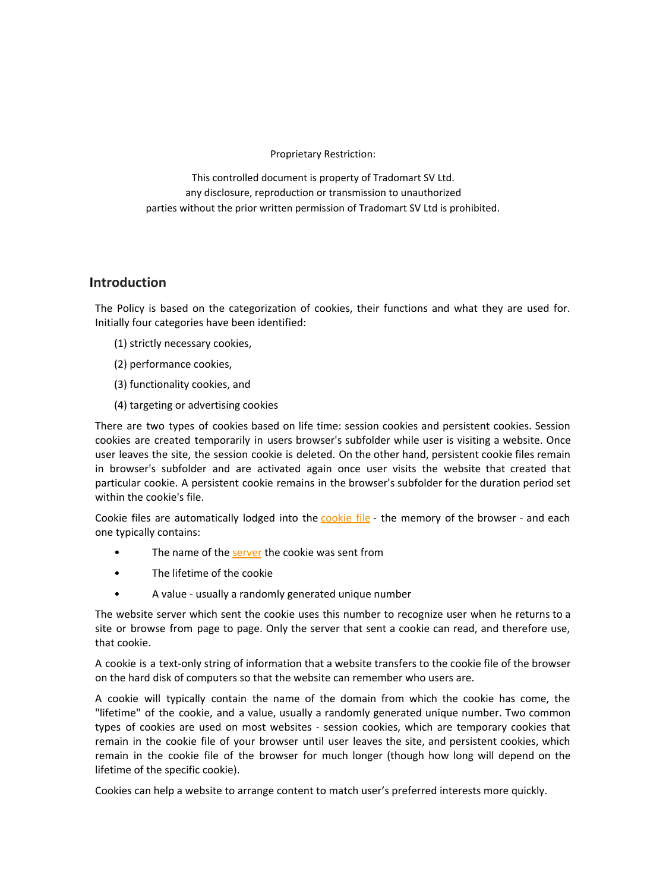Proprietary Restriction:

This controlled document is property of Tradomart SV Ltd. any disclosure, reproduction or transmission to unauthorized parties without the prior written permission of Tradomart SV Ltd is prohibited.

### **Introduction**

The Policy is based on the categorization of cookies, their functions and what they are used for. Initially four categories have been identified:

- (1) strictly necessary cookies,
- (2) performance cookies,
- (3) functionality cookies, and
- (4) targeting or advertising cookies

There are two types of cookies based on life time: session cookies and persistent cookies. Session cookies are created temporarily in users browser's subfolder while user is visiting a website. Once user leaves the site, the session cookie is deleted. On the other hand, persistent cookie files remain in browser's subfolder and are activated again once user visits the website that created that particular cookie. A persistent cookie remains in the browser's subfolder for the duration period set within the cookie's file.

Cookie files are automatically lodged into the [cookie](http://www.allaboutcookies.org/faqs/cookie-file.html) file - the memory of the browser - and each one typically contains:

- The name of the [server](http://www.allaboutcookies.org/faqs/server.html) the cookie was sent from
- The lifetime of the cookie
- A value usually a randomly generated unique number

The website server which sent the cookie uses this number to recognize user when he returns to a site or browse from page to page. Only the server that sent a cookie can read, and therefore use, that cookie.

A cookie is a text-only string of information that a website transfers to the cookie file of the browser on the hard disk of computers so that the website can remember who users are.

A cookie will typically contain the name of the domain from which the cookie has come, the "lifetime" of the cookie, and a value, usually a randomly generated unique number. Two common types of cookies are used on most websites - session cookies, which are temporary cookies that remain in the cookie file of your browser until user leaves the site, and persistent cookies, which remain in the cookie file of the browser for much longer (though how long will depend on the lifetime of the specific cookie).

Cookies can help a website to arrange content to match user's preferred interests more quickly.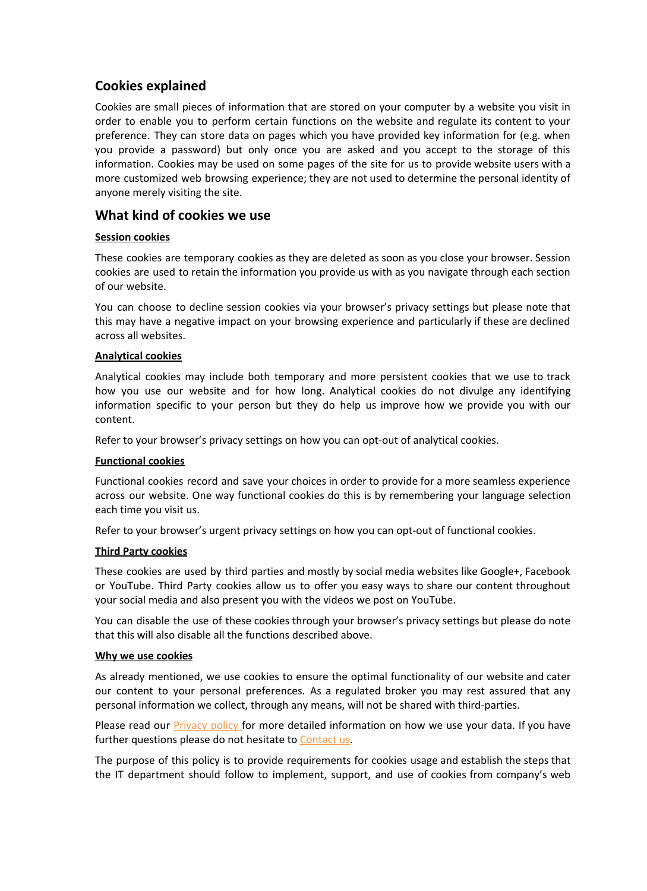## **Cookies explained**

Cookies are small pieces of information that are stored on your computer by a website you visit in order to enable you to perform certain functions on the website and regulate its content to your preference. They can store data on pages which you have provided key information for (e.g. when you provide a password) but only once you are asked and you accept to the storage of this information. Cookies may be used on some pages of the site for us to provide website users with a more customized web browsing experience; they are not used to determine the personal identity of anyone merely visiting the site.

## **What kind of cookies we use**

#### **Session cookies**

These cookies are temporary cookies as they are deleted as soon as you close your browser. Session cookies are used to retain the information you provide us with as you navigate through each section of our website.

You can choose to decline session cookies via your browser's privacy settings but please note that this may have a negative impact on your browsing experience and particularly if these are declined across all websites.

#### **Analytical cookies**

Analytical cookies may include both temporary and more persistent cookies that we use to track how you use our website and for how long. Analytical cookies do not divulge any identifying information specific to your person but they do help us improve how we provide you with our content.

Refer to your browser's privacy settings on how you can opt-out of analytical cookies.

#### **Functional cookies**

Functional cookies record and save your choices in order to provide for a more seamless experience across our website. One way functional cookies do this is by remembering your language selection each time you visit us.

Refer to your browser's urgent privacy settings on how you can opt-out of functional cookies.

#### **Third Party cookies**

These cookies are used by third parties and mostly by social media websites like Google+, Facebook or YouTube. Third Party cookies allow us to offer you easy ways to share our content throughout your social media and also present you with the videos we post on YouTube.

You can disable the use of these cookies through your browser's privacy settings but please do note that this will also disable all the functions described above.

#### **Why we use cookies**

As already mentioned, we use cookies to ensure the optimal functionality of our website and cater our content to your personal preferences. As a regulated broker you may rest assured that any personal information we collect, through any means, will not be shared with third-parties.

Please read our **Privacy policy** for more detailed information on how we use your data. If you have further questions please do not hesitate to Contact us.

The purpose of this policy is to provide requirements for cookies usage and establish the steps that the IT department should follow to implement, support, and use of cookies from company's web